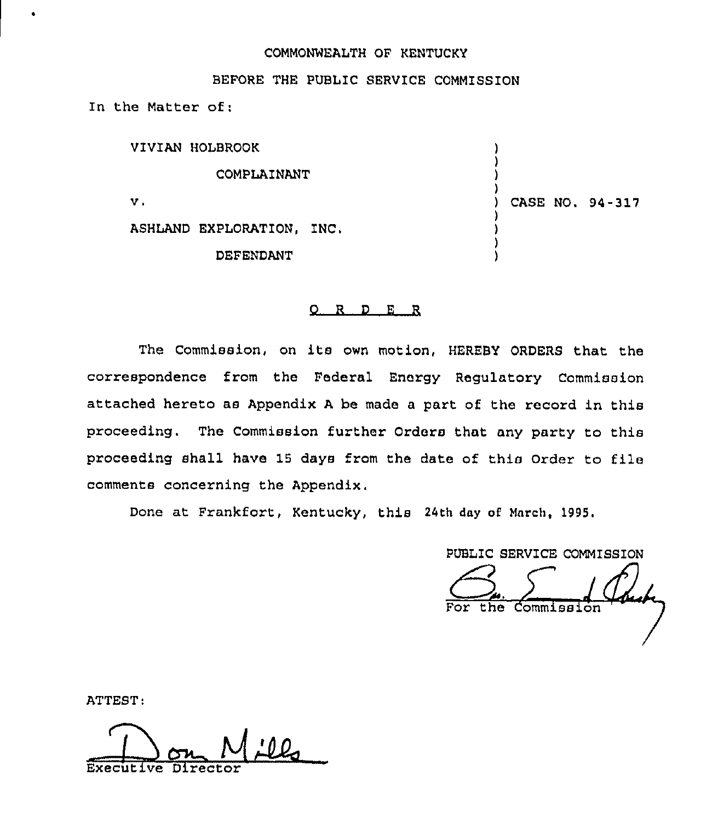# COMMONNEALTH OF KENTUCKY

# BEFORE THE PUBLIC SERVICE COMMISSION

In the Matter of:

| VIVIAN HOLBROOK           |                 |  |
|---------------------------|-----------------|--|
| COMPLAINANT               |                 |  |
| ν.                        | CASE NO. 94-317 |  |
| ASHLAND EXPLORATION, INC. |                 |  |
| DEFENDANT                 |                 |  |

#### 0 <sup>R</sup> <sup>D</sup> E <sup>R</sup>

The Commission, on its own motion, HEREBY ORDERS that the correspondence from the Federal Energy Regulatory Commission attached hereto as Appendix <sup>A</sup> be made a part of the record in this proceeding. The Commission further Orders that any party to this proceeding shall have 15 days from the date of this Order to file comments concerning the Appendix,

Done at Frankfort, Kentucky, this 24th day of March, 1995.

PUBLIC SERVICE COMMISSION the Commission

ATTEST:

Executive Director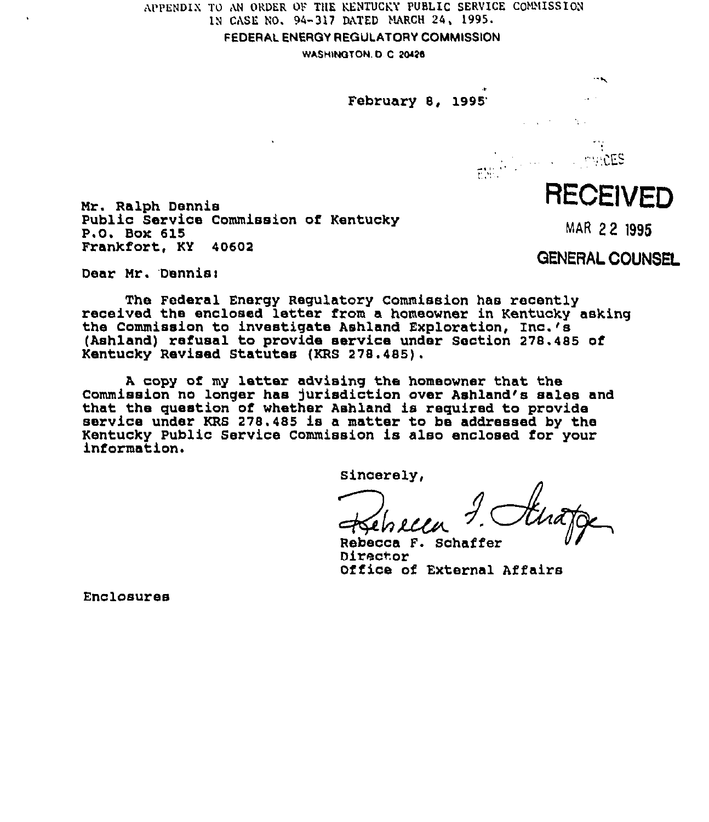APPENDIN TO AN ORDER OF THE KENTUCKY PUBLIC SERVICE COMMISSION IN CASE NO. 94-317 DiXTED MARCH 24, 1999.

FEDERAL ENERGY REGULATORY COMMISSION

WASHINGTON. D. C 20426

# February 8,

Mr. Ralph Dennis Public Service Commission of Kentucky P.O. Box 615 Frankfort, KY 40602

Dear Mr. Dennis:

The Federal Enerqy Regulatory Commission has recently received the enclosed letter from a homeowner in Kentucky asking the Commission to investigate Ashland Exploration, Inc.'s (Ashland) refusal to provide service under Section 278.485 of Kentucky Revised Statutes {KRS 278.485).

A, copy of my letter advising the homeowner that the Commission no longer has jurisdiction over Ashland's sales and that the question of whether Ashland is required to provide service under KRS 278.485 is a matter to be addressed by the Kentucky Public Service Commission is also enclosed for your information.

Sincerely,

Rebecca F. Schaffer Director Office of External Affairs

Enclosures

# RECEIVED

MAR 22 1995

GENERAL COUNSEL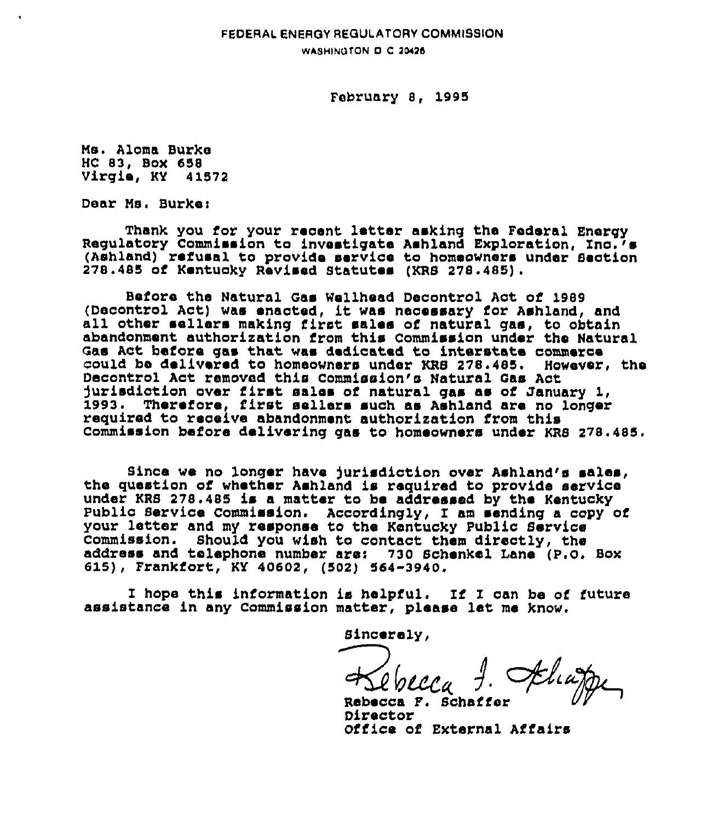# FEDERAL ENERGY REGULATORY COMMISSION WASHINGTON D C 20426

### February 8, 1995

Ms. Aloma Burke HC 83, Box 658 Virgie, KY 41572

Dear Ms. Burke:

Thank you for your recent letter asking the Fedezal Energy Regulatory Commission to investigate Ashland Exploration, Inc.'s (Ashland) refusal to provide service to homeowners under Section 278.485 of Kentuckv Revised Btatutes (KRB 27s.485).

Before the Natural Gas Wellhead Decontrol Act of 1989 (Decontrol Act) was enacted, it was necessary for Ashland, and<br>all other sellers making first sales of natural gas, to obtain abandonment authorization from this Commission under the Natural Gas Act before gas that was dedicated to interstate commerce<br>could be delivered to homeowners under KRS 278.485. However, the could be delivered to homeowners under KRS 278.485. However, the commission of the 2018. durisdiction over first sales of natural gas as of January 1, 1993 <sup>~</sup> Therefore, first sellers such as Ashland are no longez required to receive abandonment authorization from this Commission before delivering gas to homeowners under KRB 278.485.

Since we no longer have jurisdiction over Ashland's sales,<br>the question of whether Ashland is required to provide service under KRS 278.485 is <sup>a</sup> matter to be addressed by the Kentucky public service commission. Accordingly, <sup>I</sup> am sending <sup>a</sup> copy of your letter and my response to the Kentucky Public Bervics Commission. Should you wish to contact them directly, ths address and telephone number are: <sup>730</sup> schenkel Lane (p.o, Box 615), Frankfort, KY 40602, (502) 564-3940.

<sup>I</sup> hope this information is helpful. If <sup>I</sup> can be of future assistance in any Commission matter, please 1st me know.

Sincerely,

Rebecca F. Schaffer Director Office of External Affairs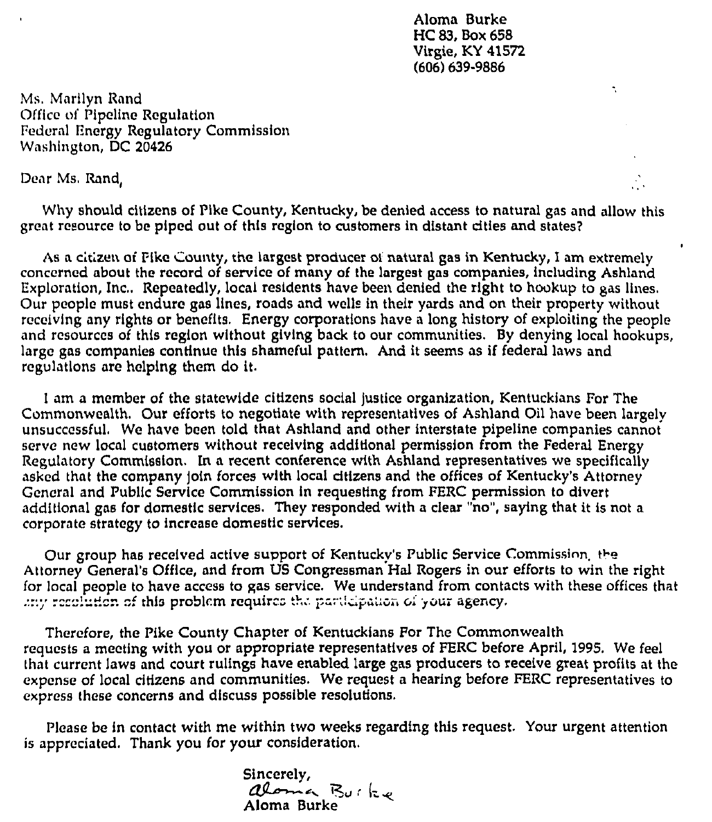Aloma Burke HC83, Box 658 Virgie, KY 415?2 (606) 639-9886

Ñ.

Ms. Marilyn Rand Office of Pipeline Regulation Federal Energy Regulatory Commission Washington, DC 20426

Dear Ms. Rand,

Why should citizens of Pike County, Kentucky, be denied access to natural gas and allow this great resource to be piped out of this region to customers in distant dties and states?

As a citizen of Pike County, the largest producer of natural gas in Kentucky, I am extremely concerned about the record of service of many of the largest gas companies, Including Ashland Exploration, Inc., Repeatedly, local residents have been denied the right to hookup to gas lines. Our people must endure gas lines, roads and wells in their yards and on their property without receiving any rights or benefits, Energy corporations have a long history of exploiting the people and resources of this region without giving back to our communities. By denying local hookups, large gas companies continue this shameful pattern. And it seems as if federal laws and regulations are helping them do it.

I am a member of the statewide citizens social justice organization, Kentuckians For The Commonwealth. Our efforts to negotiate with representatives of Ashland Oil have been largely unsuccessful, We have been told that Ashland and other interstate pipeline companies cannot serve new local customers without receiving additional permission from the Federal Energy Regulatory Commission. In a recent conference with Ashland representatives we specifically asked that the company Join forces with local dtizens and the offices of Kentucky's Attorney General and Public Service Commission In requesting from FERC permission to divert additional gas for domestic services, They responded with a clear "no", saying that it is not a corporate strategy to increase domestic services.

Our group has received active support of Kentucky's Public Service Commission, the Attorney General's Office, and from US Congressman Hal Rogers in our efforts to win the right for local people to have access to gas service. We understand from contacts with these offices that .:::/ recolution of this problem requires the participation of your agency.

Therefore, the Pike County Chapter of Kentuckians For The Commonwealth requests a meeting with you or appropriate representatives of FERC before April, 1995. We feel that current laws and court rulings have enabled large gas producers to receive great profits at the expense of local citizens and communities. We request a hearing before FERC representatives to express these concerns and discuss possible resolutions.

Please be in contact with me within two weeks regarding this request. Your urgent attention is appreciated. Thank you for your consideration.

> Sincerely,<br>aloma Burke Aloma Burke